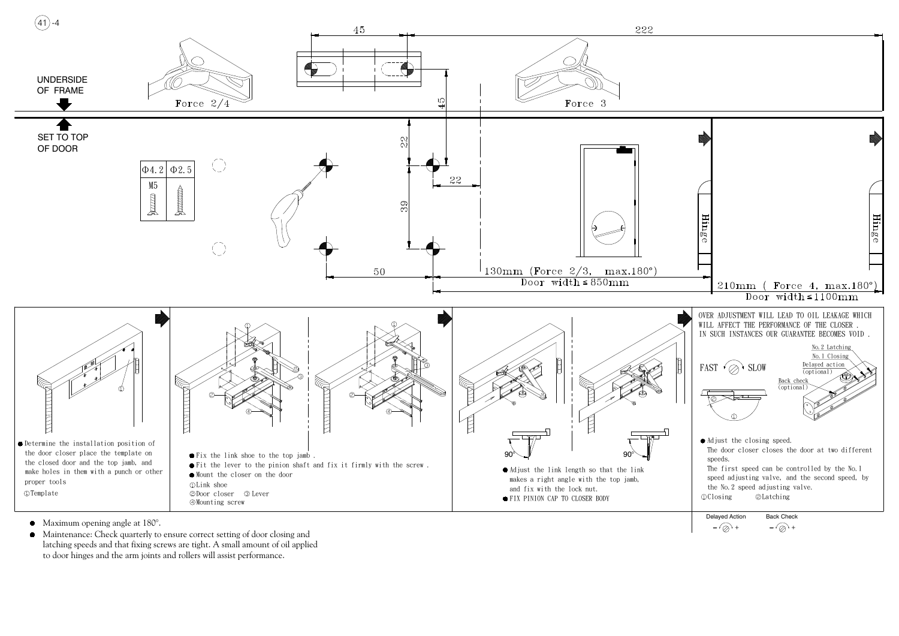- 
- latching speeds and that fixing screws are tight. A small amount of oil applied to door hinges and the arm joints and rollers will assist performance. • Maintenance: Check quarterly to ensure correct setting of door closing and